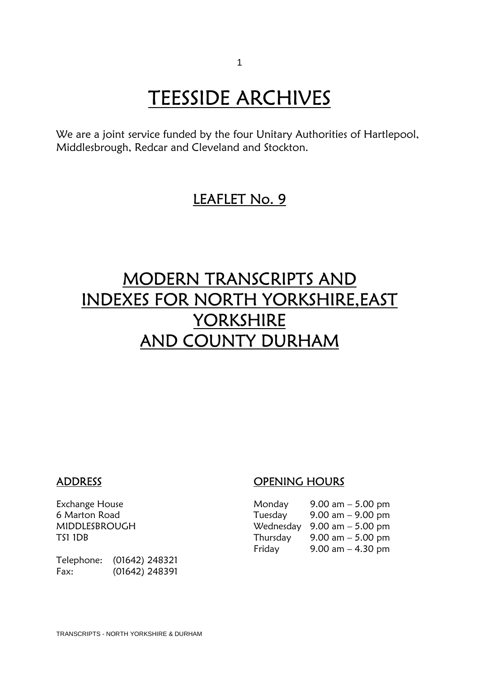# **TEESSIDE ARCHIVES**<br>We are a joint service funded by the four Unitary Authorities of Hartlepool,

Middlesbrough, Redcar and Cleveland and Stockton.

### LEAFLET No. 9

## MODERN TRANSCRIPTS AND INDEXES FOR NORTH YORKSHIRE,EAST YORKSHIRE AND COUNTY DURHAM

Telephone: (01642) 248321 Fax: (01642) 248391

### ADDRESS OPENING HOURS

| Monday  | $9.00$ am $-5.00$ pm                          |
|---------|-----------------------------------------------|
| Tuesday | 9.00 am – 9.00 pm                             |
|         | Wednesday $9.00 \text{ am} - 5.00 \text{ pm}$ |
|         | Thursday $9.00 \text{ am} - 5.00 \text{ pm}$  |
| Fridav  | 9.00 am $-$ 4.30 pm                           |
|         |                                               |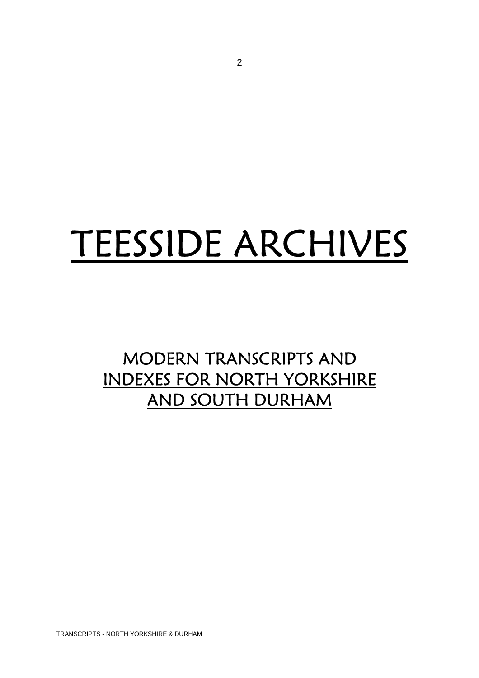# TEESSIDE ARCHIVES

## MODERN TRANSCRIPTS AND INDEXES FOR NORTH YORKSHIRE AND SOUTH DURHAM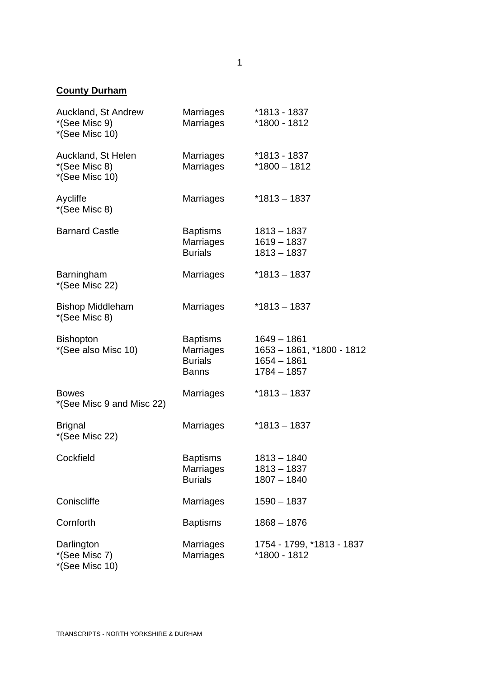#### **County Durham**

| Auckland, St Andrew<br>*(See Misc 9)<br>*(See Misc 10) | Marriages<br><b>Marriages</b>                           | *1813 - 1837<br>*1800 - 1812                                                 |
|--------------------------------------------------------|---------------------------------------------------------|------------------------------------------------------------------------------|
| Auckland, St Helen<br>*(See Misc 8)<br>*(See Misc 10)  | Marriages<br><b>Marriages</b>                           | *1813 - 1837<br>*1800 - 1812                                                 |
| Aycliffe<br>*(See Misc 8)                              | <b>Marriages</b>                                        | $*1813 - 1837$                                                               |
| <b>Barnard Castle</b>                                  | <b>Baptisms</b><br>Marriages<br><b>Burials</b>          | $1813 - 1837$<br>$1619 - 1837$<br>$1813 - 1837$                              |
| Barningham<br>*(See Misc 22)                           | <b>Marriages</b>                                        | *1813 – 1837                                                                 |
| <b>Bishop Middleham</b><br>*(See Misc 8)               | <b>Marriages</b>                                        | $*1813 - 1837$                                                               |
| <b>Bishopton</b><br>*(See also Misc 10)                | Baptisms<br>Marriages<br><b>Burials</b><br><b>Banns</b> | $1649 - 1861$<br>1653 - 1861, *1800 - 1812<br>$1654 - 1861$<br>$1784 - 1857$ |
| <b>Bowes</b><br>*(See Misc 9 and Misc 22)              | Marriages                                               | $*1813 - 1837$                                                               |
| <b>Brignal</b><br>*(See Misc 22)                       | Marriages                                               | $*1813 - 1837$                                                               |
| Cockfield                                              | <b>Baptisms</b><br>Marriages<br><b>Burials</b>          | $1813 - 1840$<br>1813 - 1837<br>$1807 - 1840$                                |
| Coniscliffe                                            | <b>Marriages</b>                                        | $1590 - 1837$                                                                |
| Cornforth                                              | <b>Baptisms</b>                                         | $1868 - 1876$                                                                |
| Darlington<br>*(See Misc 7)<br>*(See Misc 10)          | Marriages<br><b>Marriages</b>                           | 1754 - 1799, *1813 - 1837<br>*1800 - 1812                                    |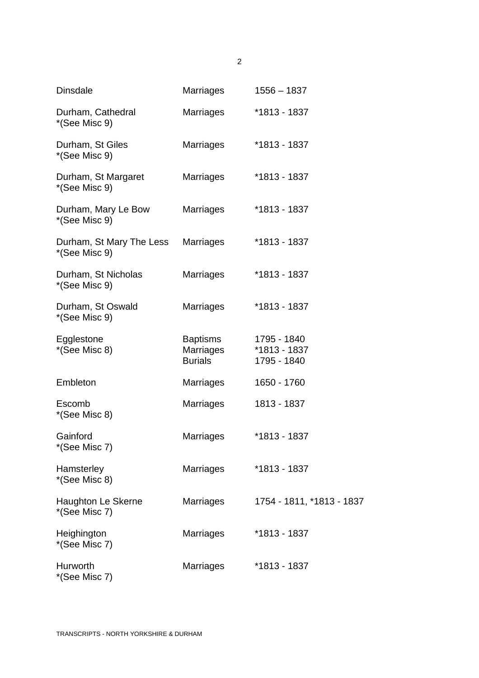| <b>Dinsdale</b>                           | <b>Marriages</b>                                      | $1556 - 1837$                              |
|-------------------------------------------|-------------------------------------------------------|--------------------------------------------|
| Durham, Cathedral<br>*(See Misc 9)        | <b>Marriages</b>                                      | *1813 - 1837                               |
| Durham, St Giles<br>*(See Misc 9)         | <b>Marriages</b>                                      | *1813 - 1837                               |
| Durham, St Margaret<br>*(See Misc 9)      | <b>Marriages</b>                                      | *1813 - 1837                               |
| Durham, Mary Le Bow<br>*(See Misc 9)      | <b>Marriages</b>                                      | *1813 - 1837                               |
| Durham, St Mary The Less<br>*(See Misc 9) | <b>Marriages</b>                                      | *1813 - 1837                               |
| Durham, St Nicholas<br>*(See Misc 9)      | <b>Marriages</b>                                      | *1813 - 1837                               |
| Durham, St Oswald<br>*(See Misc 9)        | <b>Marriages</b>                                      | *1813 - 1837                               |
| Egglestone<br>*(See Misc 8)               | <b>Baptisms</b><br><b>Marriages</b><br><b>Burials</b> | 1795 - 1840<br>*1813 - 1837<br>1795 - 1840 |
| Embleton                                  | <b>Marriages</b>                                      | 1650 - 1760                                |
| Escomb<br>*(See Misc 8)                   | <b>Marriages</b>                                      | 1813 - 1837                                |
| Gainford<br>*(See Misc 7)                 | Marriages                                             | *1813 - 1837                               |
| Hamsterley<br>*(See Misc 8)               | <b>Marriages</b>                                      | *1813 - 1837                               |
| Haughton Le Skerne<br>*(See Misc 7)       | <b>Marriages</b>                                      | 1754 - 1811, *1813 - 1837                  |
| Heighington<br>*(See Misc 7)              | <b>Marriages</b>                                      | *1813 - 1837                               |
| Hurworth<br>*(See Misc 7)                 | Marriages                                             | *1813 - 1837                               |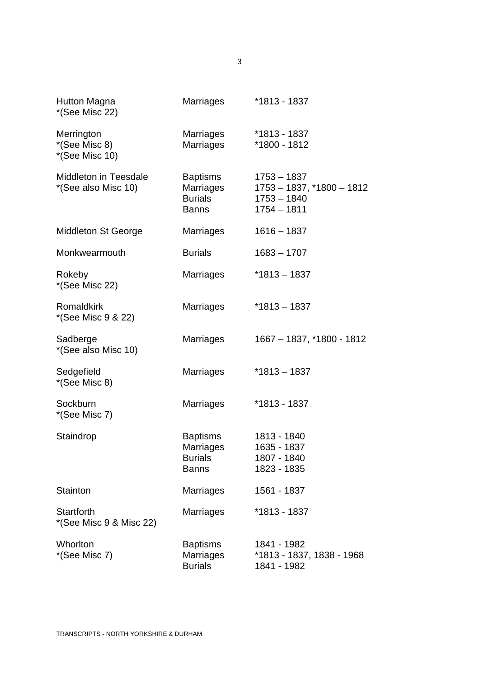| Hutton Magna<br>*(See Misc 22)                | Marriages                                               | *1813 - 1837                                                                   |
|-----------------------------------------------|---------------------------------------------------------|--------------------------------------------------------------------------------|
| Merrington<br>*(See Misc 8)<br>*(See Misc 10) | Marriages<br>Marriages                                  | *1813 - 1837<br>*1800 - 1812                                                   |
| Middleton in Teesdale<br>*(See also Misc 10)  | Baptisms<br>Marriages<br><b>Burials</b><br><b>Banns</b> | $1753 - 1837$<br>$1753 - 1837, *1800 - 1812$<br>$1753 - 1840$<br>$1754 - 1811$ |
| Middleton St George                           | Marriages                                               | $1616 - 1837$                                                                  |
| Monkwearmouth                                 | <b>Burials</b>                                          | $1683 - 1707$                                                                  |
| Rokeby<br>*(See Misc 22)                      | Marriages                                               | $*1813 - 1837$                                                                 |
| Romaldkirk<br>*(See Misc 9 & 22)              | Marriages                                               | $*1813 - 1837$                                                                 |
| Sadberge<br>*(See also Misc 10)               | Marriages                                               | 1667 - 1837, *1800 - 1812                                                      |
| Sedgefield<br>*(See Misc 8)                   | <b>Marriages</b>                                        | $*1813 - 1837$                                                                 |
| Sockburn<br>*(See Misc 7)                     | Marriages                                               | *1813 - 1837                                                                   |
| Staindrop                                     | Baptisms<br>Marriages<br><b>Burials</b><br><b>Banns</b> | 1813 - 1840<br>1635 - 1837<br>1807 - 1840<br>1823 - 1835                       |
| Stainton                                      | Marriages                                               | 1561 - 1837                                                                    |
| <b>Startforth</b><br>*(See Misc 9 & Misc 22)  | Marriages                                               | *1813 - 1837                                                                   |
| Whorlton<br>*(See Misc 7)                     | <b>Baptisms</b><br>Marriages<br><b>Burials</b>          | 1841 - 1982<br>*1813 - 1837, 1838 - 1968<br>1841 - 1982                        |

3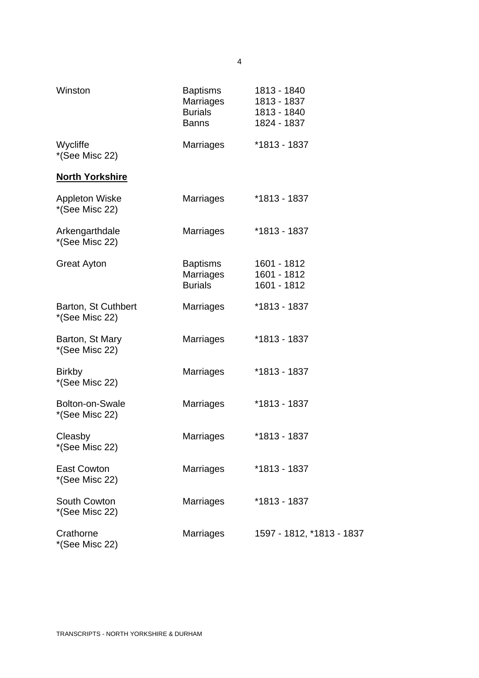| Winston                                 | <b>Baptisms</b><br>Marriages<br><b>Burials</b><br><b>Banns</b> | 1813 - 1840<br>1813 - 1837<br>1813 - 1840<br>1824 - 1837 |
|-----------------------------------------|----------------------------------------------------------------|----------------------------------------------------------|
| Wycliffe<br>*(See Misc 22)              | <b>Marriages</b>                                               | *1813 - 1837                                             |
| <b>North Yorkshire</b>                  |                                                                |                                                          |
| <b>Appleton Wiske</b><br>*(See Misc 22) | <b>Marriages</b>                                               | *1813 - 1837                                             |
| Arkengarthdale<br>*(See Misc 22)        | Marriages                                                      | *1813 - 1837                                             |
| <b>Great Ayton</b>                      | <b>Baptisms</b><br>Marriages<br><b>Burials</b>                 | 1601 - 1812<br>1601 - 1812<br>1601 - 1812                |
| Barton, St Cuthbert<br>*(See Misc 22)   | <b>Marriages</b>                                               | *1813 - 1837                                             |
| Barton, St Mary<br>*(See Misc 22)       | <b>Marriages</b>                                               | *1813 - 1837                                             |
| <b>Birkby</b><br>*(See Misc 22)         | <b>Marriages</b>                                               | *1813 - 1837                                             |
| Bolton-on-Swale<br>*(See Misc 22)       | <b>Marriages</b>                                               | *1813 - 1837                                             |
| Cleasby<br>*(See Misc 22)               | <b>Marriages</b>                                               | *1813 - 1837                                             |
| <b>East Cowton</b><br>*(See Misc 22)    | Marriages                                                      | *1813 - 1837                                             |
| South Cowton<br>*(See Misc 22)          | Marriages                                                      | *1813 - 1837                                             |
| Crathorne<br>*(See Misc 22)             | <b>Marriages</b>                                               | 1597 - 1812, *1813 - 1837                                |

4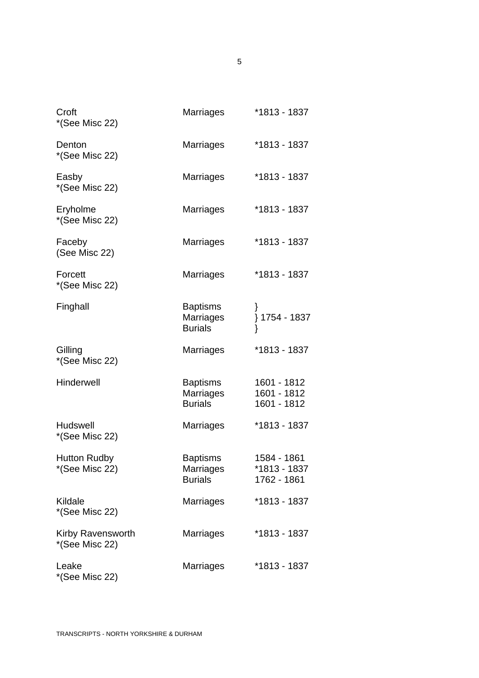| Croft<br>*(See Misc 22)               | Marriages                                             | *1813 - 1837                               |
|---------------------------------------|-------------------------------------------------------|--------------------------------------------|
| Denton<br>*(See Misc 22)              | Marriages                                             | *1813 - 1837                               |
| Easby<br>*(See Misc 22)               | Marriages                                             | *1813 - 1837                               |
| Eryholme<br>*(See Misc 22)            | <b>Marriages</b>                                      | *1813 - 1837                               |
| Faceby<br>(See Misc 22)               | Marriages                                             | *1813 - 1837                               |
| Forcett<br>*(See Misc 22)             | Marriages                                             | *1813 - 1837                               |
| Finghall                              | <b>Baptisms</b><br>Marriages<br><b>Burials</b>        | } 1754 - 1837                              |
| Gilling<br>*(See Misc 22)             | Marriages                                             | *1813 - 1837                               |
| Hinderwell                            | <b>Baptisms</b><br>Marriages<br><b>Burials</b>        | 1601 - 1812<br>1601 - 1812<br>1601 - 1812  |
| Hudswell<br>*(See Misc 22)            | <b>Marriages</b>                                      | *1813 - 1837                               |
| <b>Hutton Rudby</b><br>*(See Misc 22) | <b>Baptisms</b><br><b>Marriages</b><br><b>Burials</b> | 1584 - 1861<br>*1813 - 1837<br>1762 - 1861 |
| Kildale<br>*(See Misc 22)             | <b>Marriages</b>                                      | *1813 - 1837                               |
| Kirby Ravensworth<br>*(See Misc 22)   | <b>Marriages</b>                                      | *1813 - 1837                               |
| Leake<br>*(See Misc 22)               | Marriages                                             | *1813 - 1837                               |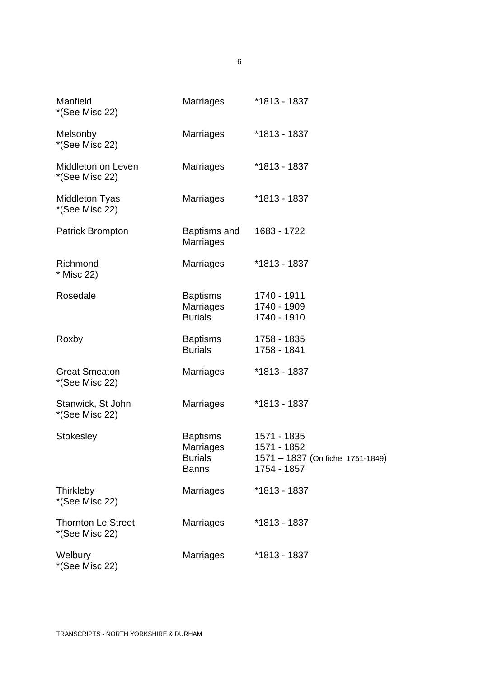| Manfield<br>*(See Misc 22)                  | <b>Marriages</b>                                               | *1813 - 1837                                                                   |
|---------------------------------------------|----------------------------------------------------------------|--------------------------------------------------------------------------------|
| Melsonby<br>*(See Misc 22)                  | Marriages                                                      | *1813 - 1837                                                                   |
| Middleton on Leven<br>*(See Misc 22)        | <b>Marriages</b>                                               | *1813 - 1837                                                                   |
| <b>Middleton Tyas</b><br>*(See Misc 22)     | <b>Marriages</b>                                               | *1813 - 1837                                                                   |
| <b>Patrick Brompton</b>                     | Baptisms and<br><b>Marriages</b>                               | 1683 - 1722                                                                    |
| Richmond<br>* Misc 22)                      | <b>Marriages</b>                                               | *1813 - 1837                                                                   |
| Rosedale                                    | <b>Baptisms</b><br><b>Marriages</b><br><b>Burials</b>          | 1740 - 1911<br>1740 - 1909<br>1740 - 1910                                      |
| Roxby                                       | <b>Baptisms</b><br><b>Burials</b>                              | 1758 - 1835<br>1758 - 1841                                                     |
| <b>Great Smeaton</b><br>*(See Misc 22)      | <b>Marriages</b>                                               | *1813 - 1837                                                                   |
| Stanwick, St John<br>*(See Misc 22)         | Marriages                                                      | *1813 - 1837                                                                   |
| <b>Stokesley</b>                            | <b>Baptisms</b><br>Marriages<br><b>Burials</b><br><b>Banns</b> | 1571 - 1835<br>1571 - 1852<br>1571 - 1837 (On fiche; 1751-1849)<br>1754 - 1857 |
| Thirkleby<br>*(See Misc 22)                 | Marriages                                                      | *1813 - 1837                                                                   |
| <b>Thornton Le Street</b><br>*(See Misc 22) | <b>Marriages</b>                                               | *1813 - 1837                                                                   |
| Welbury<br>*(See Misc 22)                   | Marriages                                                      | *1813 - 1837                                                                   |

6